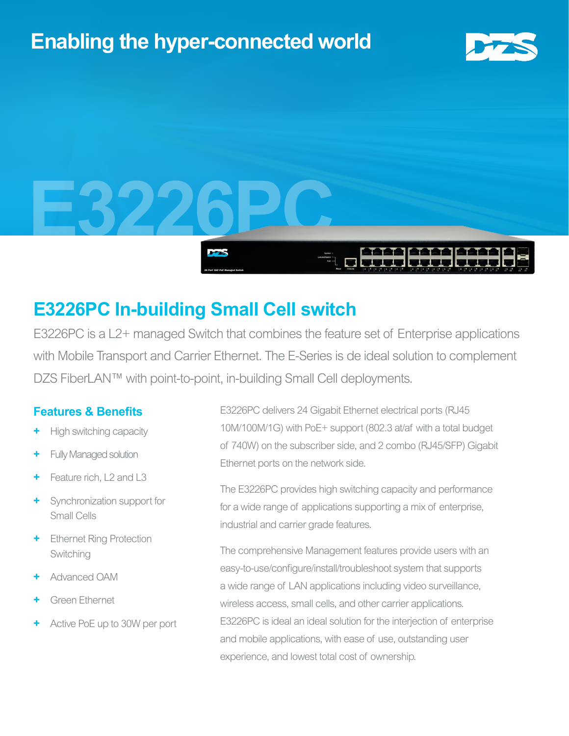# **Enabling the hyper-connected world**





## **E3226PC In-building Small Cell switch**

E3226PC is a L2+ managed Switch that combines the feature set of Enterprise applications with Mobile Transport and Carrier Ethernet. The E-Series is de ideal solution to complement DZS FiberLAN™ with point-to-point, in-building Small Cell deployments.

### **Features & Benefits**

- **+** High switching capacity
- **+** Fully Managed solution
- Feature rich, L<sub>2</sub> and L<sub>3</sub>
- **+** Synchronization support for Small Cells
- **Ethernet Ring Protection** Switching
- **+** Advanced OAM
- **+** Green Ethernet
- **+** Active PoE up to 30W per port

E3226PC delivers 24 Gigabit Ethernet electrical ports (RJ45 10M/100M/1G) with PoE+ support (802.3 at/af with a total budget of 740W) on the subscriber side, and 2 combo (RJ45/SFP) Gigabit Ethernet ports on the network side.

The E3226PC provides high switching capacity and performance for a wide range of applications supporting a mix of enterprise, industrial and carrier grade features.

The comprehensive Management features provide users with an easy-to-use/configure/install/troubleshoot system that supports a wide range of LAN applications including video surveillance, wireless access, small cells, and other carrier applications. E3226PC is ideal an ideal solution for the interjection of enterprise and mobile applications, with ease of use, outstanding user experience, and lowest total cost of ownership.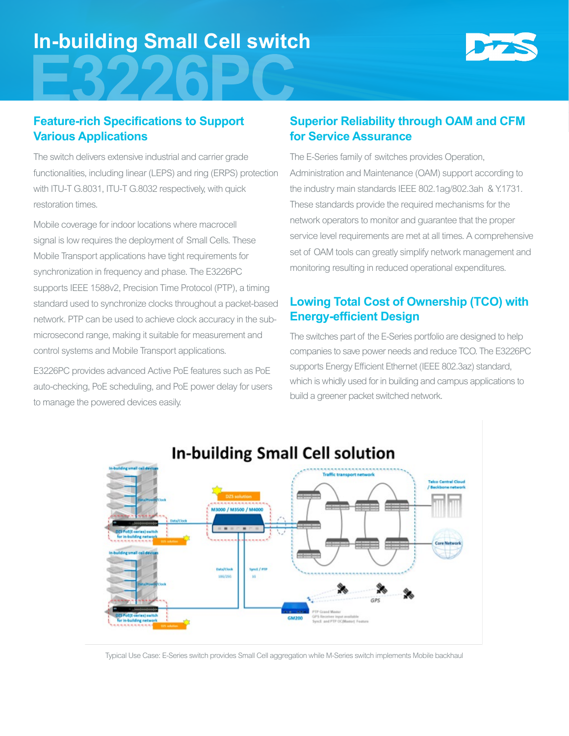# **In-building Small Cell switch**



### **Feature-rich Specifications to Support Various Applications**

The switch delivers extensive industrial and carrier grade functionalities, including linear (LEPS) and ring (ERPS) protection with ITU-T G.8031, ITU-T G.8032 respectively, with quick restoration times.

Mobile coverage for indoor locations where macrocell signal is low requires the deployment of Small Cells. These Mobile Transport applications have tight requirements for synchronization in frequency and phase. The E3226PC supports IEEE 1588v2, Precision Time Protocol (PTP), a timing standard used to synchronize clocks throughout a packet-based network. PTP can be used to achieve clock accuracy in the submicrosecond range, making it suitable for measurement and control systems and Mobile Transport applications.

E3226PC provides advanced Active PoE features such as PoE auto-checking, PoE scheduling, and PoE power delay for users to manage the powered devices easily.

### **Superior Reliability through OAM and CFM for Service Assurance**

The E-Series family of switches provides Operation, Administration and Maintenance (OAM) support according to the industry main standards IEEE 802.1ag/802.3ah & Y.1731. These standards provide the required mechanisms for the network operators to monitor and guarantee that the proper service level requirements are met at all times. A comprehensive set of OAM tools can greatly simplify network management and monitoring resulting in reduced operational expenditures.

### **Lowing Total Cost of Ownership (TCO) with Energy-efficient Design**

The switches part of the E-Series portfolio are designed to help companies to save power needs and reduce TCO. The E3226PC supports Energy Efficient Ethernet (IEEE 802.3az) standard, which is whidly used for in building and campus applications to build a greener packet switched network.



Typical Use Case: E-Series switch provides Small Cell aggregation while M-Series switch implements Mobile backhaul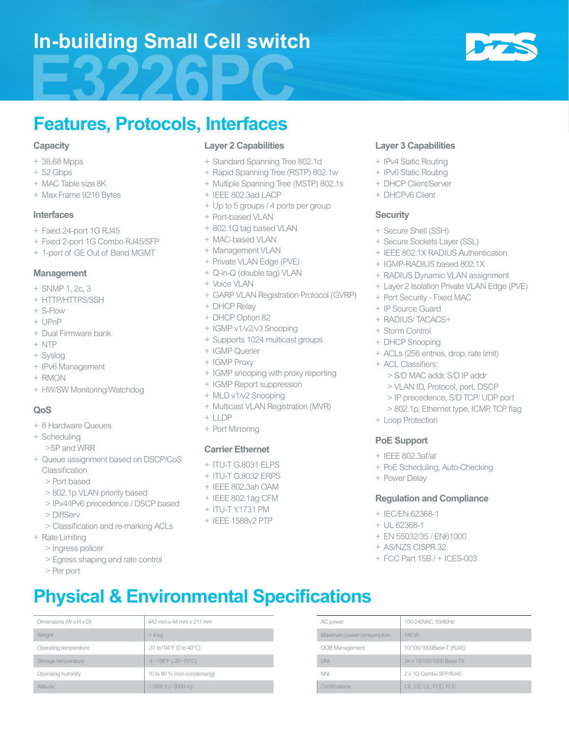## **In-building Small Cell switch**



## **Features, Protocols, Interfaces**

#### **Capacity**

- + 38.68 Mpps
- + 52 Gbps
- + MAC Table size 8K
- + Max Frame 9216 Bytes

#### **Interfaces**

- + Fixed 24-port 1G RJ45
- + Fixed 2-port 1G Combo RJ45/SFP
- + 1-port of GE Out of Band MGMT

#### **Management**

- + SNMP 1, 2c, 3
- + HTTP/HTTPS/SSH
- + S-Flow
- + UPnP
- + Dual Firmware bank
- + NTP
- + Syslog
- + IPv6 Management
- + RMON
- + HW/SW Monitoring/Watchdog

#### **QoS**

- + 8 Hardware Queues
- + Scheduling
	- >SP and WRR
- + Queue assignment based on DSCP/CoS Classification
	- > Port based
	- > 802.1p VLAN priority based
	- > IPv4/IPv6 precedence / DSCP based
	- > DiffServ
	- > Classification and re-marking ACLs
- + Rate Limiting
	- > Ingress policer
	- > Egress shaping and rate control
	- > Per port

#### **Layer 2 Capabilities**

- + Standard Spanning Tree 802.1d
- + Rapid Spanning Tree (RSTP) 802.1w
- + Multiple Spanning Tree (MSTP) 802.1s
- + IEEE 802.3ad LACP
- + Up to 5 groups / 4 ports per group
- + Port-based VLAN
- + 802.1Q tag based VLAN
- + MAC-based VLAN
- + Management VLAN
- + Private VLAN Edge (PVE)
- + Q-in-Q (double tag) VLAN
- + Voice VLAN
- + GARP VLAN Registration Protocol (GVRP)
- + DHCP Relay
- + DHCP Option 82
- + IGMP v1/v2/v3 Snooping
- + Supports 1024 multicast groups
- + IGMP Querier
- + IGMP Proxy
- + IGMP snooping with proxy reporting
- + IGMP Report suppression
- + MLD v1/v2 Snooping
- + Multicast VLAN Registration (MVR)
- $+$  LLDP
- + Port Mirroring

#### **Carrier Ethernet**

- + ITU-T G.8031 ELPS
- + ITU-T G.8032 ERPS
- + IEEE 802.3ah OAM
- + IEEE 802.1ag CFM
- + ITU-T Y.1731 PM
- + IEEE 1588v2 PTP

Dimensions (W x H x D)  $42$  mm x 44 mm x 211 mm AC power 400-240VAC, 50/60Hz

Operating temperature  $-31$  to  $10^{49}$ F (0 to  $40^{\circ}$ C)  $\sim$  00B Management  $10^{10}$ 00/1000Base-T (RJ45) Storage temperature  $4 - 158$ °F (-20~70°C) UNI UNI 24 x 10/100/1000 Base TX Operating humidity 10 to 90 % (non-condensing) NNI NNI 2 x 1G Combo SFP/RJ45 Altitude <1000 ft (<3000 m) Certifications CE, CE, UL, FCC, FCC

Weight Maximum power consumption  $\sim$  4 kg  $\sim$  4 kg  $\sim$  4 kg  $\sim$  10 Maximum power consumption  $\sim$  740 W

**Physical & Environmental Specifications**

#### **Layer 3 Capabilities**

- + IPv4 Static Routing
- + IPv6 Static Routing
- + DHCP Client/Server
- + DHCPv6 Client

#### **Security**

- + Secure Shell (SSH)
- + Secure Sockets Layer (SSL)
- + IEEE 802.1X RADIUS Authentication
- + IGMP-RADIUS based 802.1X
- + RADIUS Dynamic VLAN assignment
- + Layer 2 Isolation Private VLAN Edge (PVE)
- + Port Security Fixed MAC
- + IP Source Guard
- + RADIUS/ TACACS+
- + Storm Control
- + DHCP Snooping
- + ACLs (256 entries, drop, rate limit)
- + ACL Classifiers:
	- > S/D MAC addr, S/D IP addr
	- > VLAN ID, Protocol, port, DSCP
	- > IP precedence, S/D TCP/ UDP port
	- > 802.1p, Ethernet type, ICMP, TCP flag
- + Loop Protection

#### **PoE Support**

- + IEEE 802.3af/at
- + PoE Scheduling, Auto-Checking
- + Power Delay

#### **Regulation and Compliance**

+ EN 55032/35 / EN61000 + AS/NZS CISPR 32

+ FCC Part 15B / + ICES-003

+ IEC/EN 62368-1 + UL 62368-1